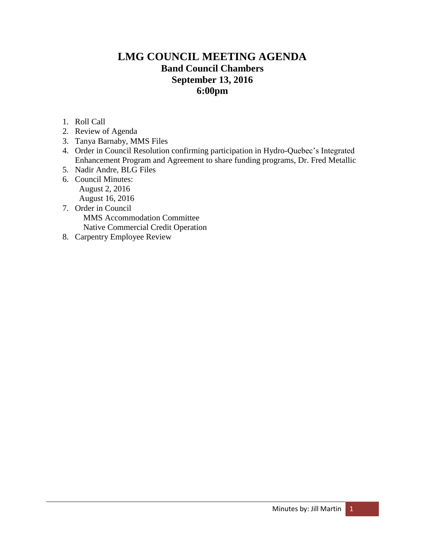# **LMG COUNCIL MEETING AGENDA Band Council Chambers September 13, 2016 6:00pm**

- 1. Roll Call
- 2. Review of Agenda
- 3. Tanya Barnaby, MMS Files
- 4. Order in Council Resolution confirming participation in Hydro-Quebec's Integrated Enhancement Program and Agreement to share funding programs, Dr. Fred Metallic
- 5. Nadir Andre, BLG Files
- 6. Council Minutes: August 2, 2016 August 16, 2016
- 7. Order in Council MMS Accommodation Committee Native Commercial Credit Operation
- 8. Carpentry Employee Review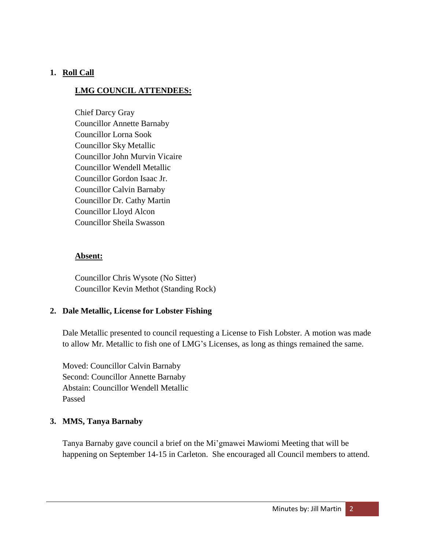# **1. Roll Call**

# **LMG COUNCIL ATTENDEES:**

Chief Darcy Gray Councillor Annette Barnaby Councillor Lorna Sook Councillor Sky Metallic Councillor John Murvin Vicaire Councillor Wendell Metallic Councillor Gordon Isaac Jr. Councillor Calvin Barnaby Councillor Dr. Cathy Martin Councillor Lloyd Alcon Councillor Sheila Swasson

## **Absent:**

Councillor Chris Wysote (No Sitter) Councillor Kevin Methot (Standing Rock)

## **2. Dale Metallic, License for Lobster Fishing**

Dale Metallic presented to council requesting a License to Fish Lobster. A motion was made to allow Mr. Metallic to fish one of LMG's Licenses, as long as things remained the same.

Moved: Councillor Calvin Barnaby Second: Councillor Annette Barnaby Abstain: Councillor Wendell Metallic Passed

## **3. MMS, Tanya Barnaby**

Tanya Barnaby gave council a brief on the Mi'gmawei Mawiomi Meeting that will be happening on September 14-15 in Carleton. She encouraged all Council members to attend.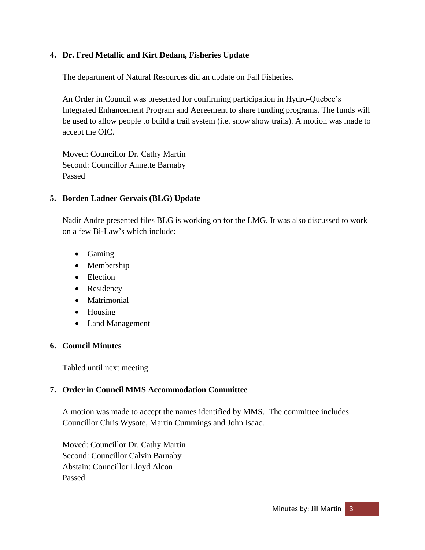# **4. Dr. Fred Metallic and Kirt Dedam, Fisheries Update**

The department of Natural Resources did an update on Fall Fisheries.

An Order in Council was presented for confirming participation in Hydro-Quebec's Integrated Enhancement Program and Agreement to share funding programs. The funds will be used to allow people to build a trail system (i.e. snow show trails). A motion was made to accept the OIC.

Moved: Councillor Dr. Cathy Martin Second: Councillor Annette Barnaby Passed

## **5. Borden Ladner Gervais (BLG) Update**

Nadir Andre presented files BLG is working on for the LMG. It was also discussed to work on a few Bi-Law's which include:

- Gaming
- Membership
- Election
- Residency
- Matrimonial
- Housing
- Land Management

## **6. Council Minutes**

Tabled until next meeting.

## **7. Order in Council MMS Accommodation Committee**

A motion was made to accept the names identified by MMS. The committee includes Councillor Chris Wysote, Martin Cummings and John Isaac.

Moved: Councillor Dr. Cathy Martin Second: Councillor Calvin Barnaby Abstain: Councillor Lloyd Alcon Passed